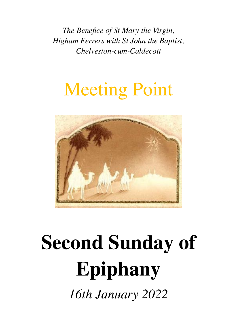*The Benefice of St Mary the Virgin, Higham Ferrers with St John the Baptist, Chelveston-cum-Caldecott*

## Meeting Point



# **Second Sunday of Epiphany**

*16th January 2022*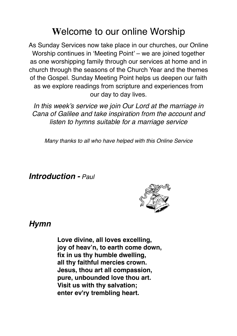## **W**elcome to our online Worship

As Sunday Services now take place in our churches, our Online Worship continues in 'Meeting Point' – we are joined together as one worshipping family through our services at home and in church through the seasons of the Church Year and the themes of the Gospel. Sunday Meeting Point helps us deepen our faith as we explore readings from scripture and experiences from our day to day lives.

*In this week's service we join Our Lord at the marriage in Cana of Galilee and take inspiration from the account and listen to hymns suitable for a marriage service* 

*Many thanks to all who have helped with this Online Service*

*Introduction - Paul*



#### *Hymn*

**Love divine, all loves excelling, joy of heav'n, to earth come down, fix in us thy humble dwelling, all thy faithful mercies crown. Jesus, thou art all compassion, pure, unbounded love thou art. Visit us with thy salvation; enter ev'ry trembling heart.**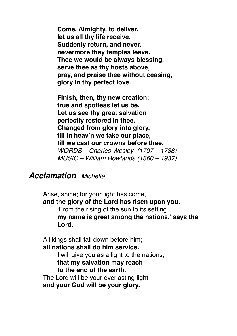**Come, Almighty, to deliver, let us all thy life receive. Suddenly return, and never, nevermore they temples leave. Thee we would be always blessing, serve thee as thy hosts above, pray, and praise thee without ceasing, glory in thy perfect love.**

**Finish, then, thy new creation; true and spotless let us be. Let us see thy great salvation perfectly restored in thee. Changed from glory into glory, till in heav'n we take our place, till we cast our crowns before thee,** *WORDS – Charles Wesley (1707 – 1788) MUSIC – William Rowlands (1860 – 1937)*

#### *Acclamation - Michelle*

Arise, shine; for your light has come, **and the glory of the Lord has risen upon you.** 'From the rising of the sun to its setting **my name is great among the nations,' says the Lord.**

All kings shall fall down before him; **all nations shall do him service.**

> I will give you as a light to the nations, **that my salvation may reach to the end of the earth.**

The Lord will be your everlasting light **and your God will be your glory.**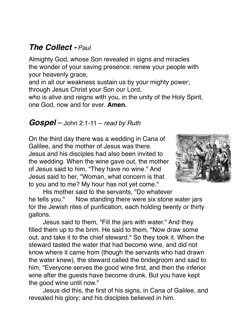## *The Collect - Paul*

Almighty God, whose Son revealed in signs and miracles the wonder of your saving presence: renew your people with your heavenly grace,

and in all our weakness sustain us by your mighty power; through Jesus Christ your Son our Lord,

who is alive and reigns with you, in the unity of the Holy Spirit, one God, now and for ever. **Amen.**

#### *Gospel* – John 2:1-11 – *read by Ruth*

On the third day there was a wedding in Cana of Galilee, and the mother of Jesus was there. Jesus and his disciples had also been invited to the wedding. When the wine gave out, the mother of Jesus said to him, "They have no wine." And Jesus said to her, "Woman, what concern is that to you and to me? My hour has not yet come."



His mother said to the servants, "Do whatever he tells you." Now standing there were six stone water jars for the Jewish rites of purification, each holding twenty or thirty gallons.

Jesus said to them, "Fill the jars with water." And they filled them up to the brim. He said to them, "Now draw some out, and take it to the chief steward." So they took it. When the steward tasted the water that had become wine, and did not know where it came from (though the servants who had drawn the water knew), the steward called the bridegroom and said to him, "Everyone serves the good wine first, and then the inferior wine after the guests have become drunk. But you have kept the good wine until now."

Jesus did this, the first of his signs, in Cana of Galilee, and revealed his glory; and his disciples believed in him.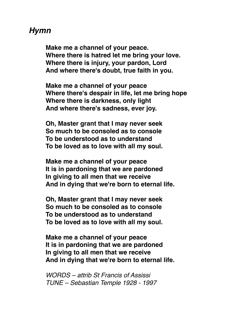## *Hymn*

**Make me a channel of your peace. Where there is hatred let me bring your love. Where there is injury, your pardon, Lord And where there's doubt, true faith in you.**

**Make me a channel of your peace Where there's despair in life, let me bring hope Where there is darkness, only light And where there's sadness, ever joy.**

**Oh, Master grant that I may never seek So much to be consoled as to console To be understood as to understand To be loved as to love with all my soul.**

**Make me a channel of your peace It is in pardoning that we are pardoned In giving to all men that we receive And in dying that we're born to eternal life.**

**Oh, Master grant that I may never seek So much to be consoled as to console To be understood as to understand To be loved as to love with all my soul.**

**Make me a channel of your peace It is in pardoning that we are pardoned In giving to all men that we receive And in dying that we're born to eternal life.**

*WORDS – attrib St Francis of Assissi TUNE – Sebastian Temple 1928 - 1997*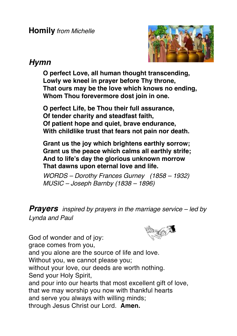**Homily** *from Michelle*



## *Hymn*

**O perfect Love, all human thought transcending, Lowly we kneel in prayer before Thy throne, That ours may be the love which knows no ending, Whom Thou forevermore dost join in one.**

**O perfect Life, be Thou their full assurance, Of tender charity and steadfast faith, Of patient hope and quiet, brave endurance, With childlike trust that fears not pain nor death.**

**Grant us the joy which brightens earthly sorrow; Grant us the peace which calms all earthly strife; And to life's day the glorious unknown morrow That dawns upon eternal love and life.**

*WORDS – Dorothy Frances Gurney (1858 – 1932) MUSIC – Joseph Barnby (1838 – 1896)*

*Prayers inspired by prayers in the marriage service – led by Lynda and Paul*

God of wonder and of joy: grace comes from you, and you alone are the source of life and love. Without you, we cannot please you; without your love, our deeds are worth nothing. Send your Holy Spirit, and pour into our hearts that most excellent gift of love, that we may worship you now with thankful hearts and serve you always with willing minds; through Jesus Christ our Lord. **Amen.**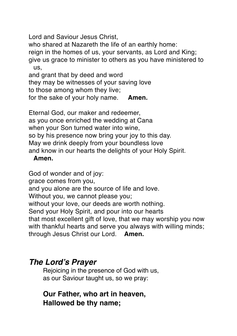Lord and Saviour Jesus Christ,

who shared at Nazareth the life of an earthly home: reign in the homes of us, your servants, as Lord and King; give us grace to minister to others as you have ministered to us,

and grant that by deed and word

they may be witnesses of your saving love

to those among whom they live;

for the sake of your holy name. **Amen.**

Eternal God, our maker and redeemer, as you once enriched the wedding at Cana when your Son turned water into wine, so by his presence now bring your joy to this day. May we drink deeply from your boundless love and know in our hearts the delights of your Holy Spirit.

#### **Amen.**

God of wonder and of joy: grace comes from you, and you alone are the source of life and love. Without you, we cannot please you; without your love, our deeds are worth nothing. Send your Holy Spirit, and pour into our hearts that most excellent gift of love, that we may worship you now with thankful hearts and serve you always with willing minds; through Jesus Christ our Lord. **Amen.**

## *The Lord's Prayer*

Rejoicing in the presence of God with us, as our Saviour taught us, so we pray:

## **Our Father, who art in heaven, Hallowed be thy name;**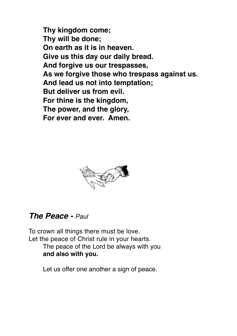**Thy kingdom come; Thy will be done; On earth as it is in heaven. Give us this day our daily bread. And forgive us our trespasses, As we forgive those who trespass against us. And lead us not into temptation; But deliver us from evil. For thine is the kingdom, The power, and the glory, For ever and ever. Amen.**



## *The Peace - Paul*

To crown all things there must be love. Let the peace of Christ rule in your hearts. The peace of the Lord be always with you **and also with you.**

Let us offer one another a sign of peace.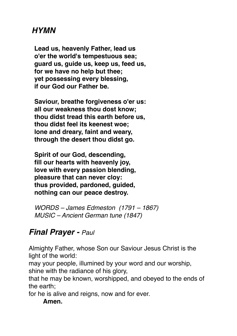## *HYMN*

**Lead us, heavenly Father, lead us o'er the world's tempestuous sea; guard us, guide us, keep us, feed us, for we have no help but thee; yet possessing every blessing, if our God our Father be.**

**Saviour, breathe forgiveness o'er us: all our weakness thou dost know; thou didst tread this earth before us, thou didst feel its keenest woe; lone and dreary, faint and weary, through the desert thou didst go.**

**Spirit of our God, descending, fill our hearts with heavenly joy, love with every passion blending, pleasure that can never cloy: thus provided, pardoned, guided, nothing can our peace destroy.**

*WORDS – James Edmeston (1791 – 1867) MUSIC – Ancient German tune (1847)*

## *Final Prayer - Paul*

Almighty Father, whose Son our Saviour Jesus Christ is the light of the world:

may your people, illumined by your word and our worship, shine with the radiance of his glory,

that he may be known, worshipped, and obeyed to the ends of the earth;

for he is alive and reigns, now and for ever.

#### **Amen.**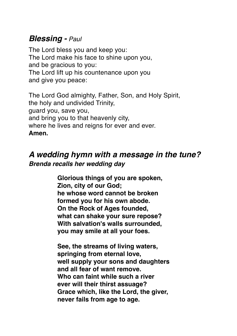## *Blessing - Paul*

The Lord bless you and keep you: The Lord make his face to shine upon you, and be gracious to you: The Lord lift up his countenance upon you and give you peace:

The Lord God almighty, Father, Son, and Holy Spirit, the holy and undivided Trinity, guard you, save you, and bring you to that heavenly city, where he lives and reigns for ever and ever. **Amen.**

## *A wedding hymn with a message in the tune? Brenda recalls her wedding day*

**Glorious things of you are spoken, Zion, city of our God; he whose word cannot be broken formed you for his own abode. On the Rock of Ages founded, what can shake your sure repose? With salvation's walls surrounded, you may smile at all your foes.**

**See, the streams of living waters, springing from eternal love, well supply your sons and daughters and all fear of want remove. Who can faint while such a river ever will their thirst assuage? Grace which, like the Lord, the giver, never fails from age to age.**